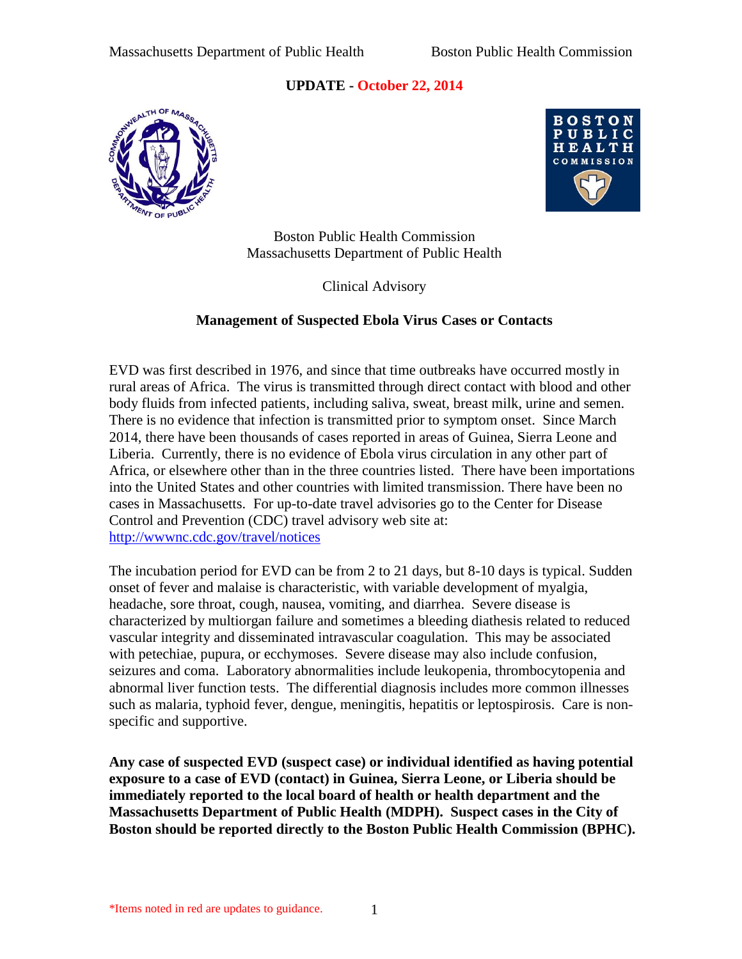



Boston Public Health Commission Massachusetts Department of Public Health

Clinical Advisory

## **Management of Suspected Ebola Virus Cases or Contacts**

EVD was first described in 1976, and since that time outbreaks have occurred mostly in rural areas of Africa. The virus is transmitted through direct contact with blood and other body fluids from infected patients, including saliva, sweat, breast milk, urine and semen. There is no evidence that infection is transmitted prior to symptom onset. Since March 2014, there have been thousands of cases reported in areas of Guinea, Sierra Leone and Liberia. Currently, there is no evidence of Ebola virus circulation in any other part of Africa, or elsewhere other than in the three countries listed. There have been importations into the United States and other countries with limited transmission. There have been no cases in Massachusetts. For up-to-date travel advisories go to the Center for Disease Control and Prevention (CDC) travel advisory web site at: <http://wwwnc.cdc.gov/travel/notices>

The incubation period for EVD can be from 2 to 21 days, but 8-10 days is typical. Sudden onset of fever and malaise is characteristic, with variable development of myalgia, headache, sore throat, cough, nausea, vomiting, and diarrhea. Severe disease is characterized by multiorgan failure and sometimes a bleeding diathesis related to reduced vascular integrity and disseminated intravascular coagulation. This may be associated with petechiae, pupura, or ecchymoses. Severe disease may also include confusion, seizures and coma. Laboratory abnormalities include leukopenia, thrombocytopenia and abnormal liver function tests. The differential diagnosis includes more common illnesses such as malaria, typhoid fever, dengue, meningitis, hepatitis or leptospirosis. Care is nonspecific and supportive.

**Any case of suspected EVD (suspect case) or individual identified as having potential exposure to a case of EVD (contact) in Guinea, Sierra Leone, or Liberia should be immediately reported to the local board of health or health department and the Massachusetts Department of Public Health (MDPH). Suspect cases in the City of Boston should be reported directly to the Boston Public Health Commission (BPHC).**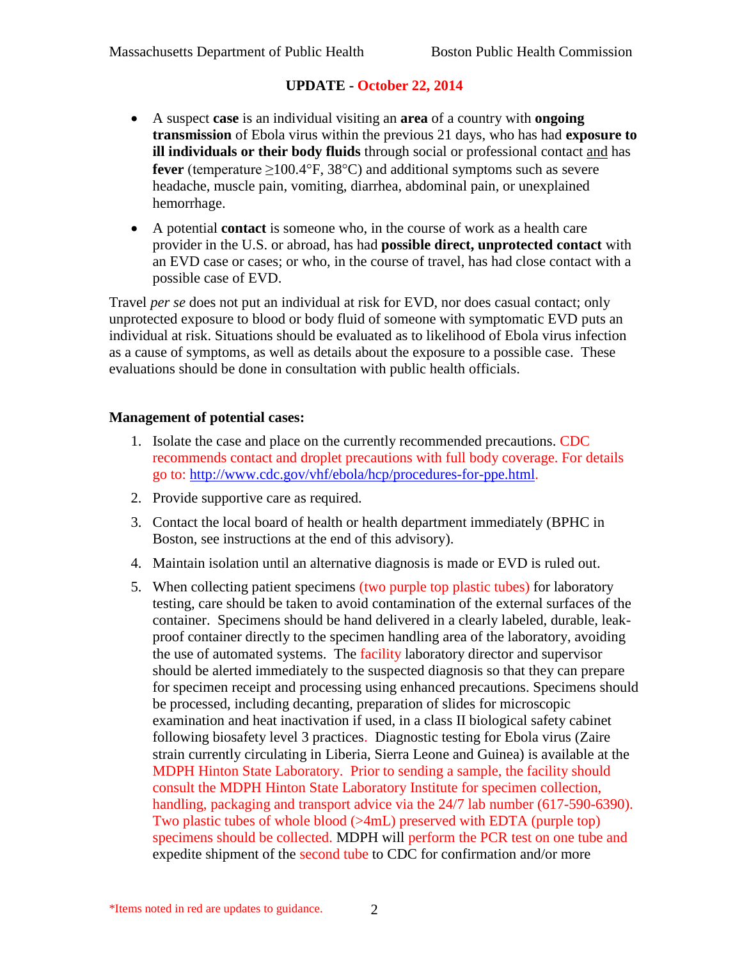- A suspect **case** is an individual visiting an **area** of a country with **ongoing transmission** of Ebola virus within the previous 21 days, who has had **exposure to ill individuals or their body fluids** through social or professional contact and has **fever** (temperature  $\geq 100.4$ °F, 38°C) and additional symptoms such as severe headache, muscle pain, vomiting, diarrhea, abdominal pain, or unexplained hemorrhage.
- A potential **contact** is someone who, in the course of work as a health care provider in the U.S. or abroad, has had **possible direct, unprotected contact** with an EVD case or cases; or who, in the course of travel, has had close contact with a possible case of EVD.

Travel *per se* does not put an individual at risk for EVD, nor does casual contact; only unprotected exposure to blood or body fluid of someone with symptomatic EVD puts an individual at risk. Situations should be evaluated as to likelihood of Ebola virus infection as a cause of symptoms, as well as details about the exposure to a possible case. These evaluations should be done in consultation with public health officials.

## **Management of potential cases:**

- 1. Isolate the case and place on the currently recommended precautions. CDC recommends contact and droplet precautions with full body coverage. For details go to: [http://www.cdc.gov/vhf/ebola/hcp/procedures-for-ppe.html.](http://www.cdc.gov/vhf/ebola/hcp/procedures-for-ppe.html)
- 2. Provide supportive care as required.
- 3. Contact the local board of health or health department immediately (BPHC in Boston, see instructions at the end of this advisory).
- 4. Maintain isolation until an alternative diagnosis is made or EVD is ruled out.
- 5. When collecting patient specimens (two purple top plastic tubes) for laboratory testing, care should be taken to avoid contamination of the external surfaces of the container. Specimens should be hand delivered in a clearly labeled, durable, leakproof container directly to the specimen handling area of the laboratory, avoiding the use of automated systems. The facility laboratory director and supervisor should be alerted immediately to the suspected diagnosis so that they can prepare for specimen receipt and processing using enhanced precautions. Specimens should be processed, including decanting, preparation of slides for microscopic examination and heat inactivation if used, in a class II biological safety cabinet following biosafety level 3 practices. Diagnostic testing for Ebola virus (Zaire strain currently circulating in Liberia, Sierra Leone and Guinea) is available at the MDPH Hinton State Laboratory. Prior to sending a sample, the facility should consult the MDPH Hinton State Laboratory Institute for specimen collection, handling, packaging and transport advice via the 24/7 lab number (617-590-6390). Two plastic tubes of whole blood (>4mL) preserved with EDTA (purple top) specimens should be collected. MDPH will perform the PCR test on one tube and expedite shipment of the second tube to CDC for confirmation and/or more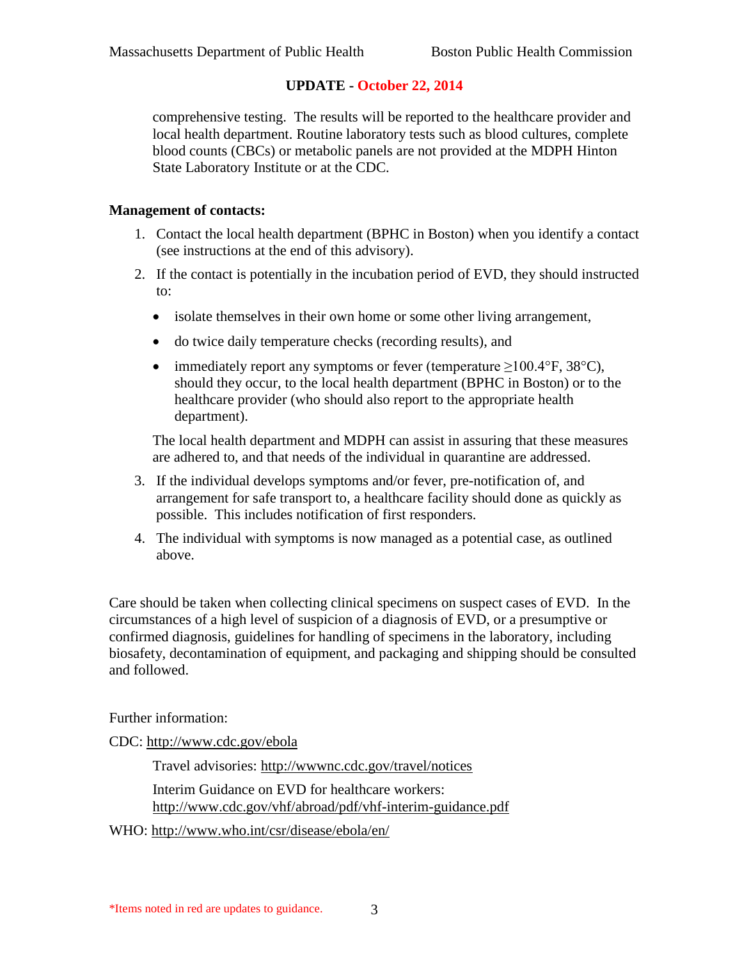comprehensive testing. The results will be reported to the healthcare provider and local health department. Routine laboratory tests such as blood cultures, complete blood counts (CBCs) or metabolic panels are not provided at the MDPH Hinton State Laboratory Institute or at the CDC.

### **Management of contacts:**

- 1. Contact the local health department (BPHC in Boston) when you identify a contact (see instructions at the end of this advisory).
- 2. If the contact is potentially in the incubation period of EVD, they should instructed to:
	- isolate themselves in their own home or some other living arrangement,
	- do twice daily temperature checks (recording results), and
	- immediately report any symptoms or fever (temperature  $\geq 100.4$ °F, 38°C), should they occur, to the local health department (BPHC in Boston) or to the healthcare provider (who should also report to the appropriate health department).

The local health department and MDPH can assist in assuring that these measures are adhered to, and that needs of the individual in quarantine are addressed.

- 3. If the individual develops symptoms and/or fever, pre-notification of, and arrangement for safe transport to, a healthcare facility should done as quickly as possible. This includes notification of first responders.
- 4. The individual with symptoms is now managed as a potential case, as outlined above.

Care should be taken when collecting clinical specimens on suspect cases of EVD. In the circumstances of a high level of suspicion of a diagnosis of EVD, or a presumptive or confirmed diagnosis, guidelines for handling of specimens in the laboratory, including biosafety, decontamination of equipment, and packaging and shipping should be consulted and followed.

Further information:

CDC:<http://www.cdc.gov/ebola>

Travel advisories:<http://wwwnc.cdc.gov/travel/notices>

Interim Guidance on EVD for healthcare workers: <http://www.cdc.gov/vhf/abroad/pdf/vhf-interim-guidance.pdf>

WHO:<http://www.who.int/csr/disease/ebola/en/>